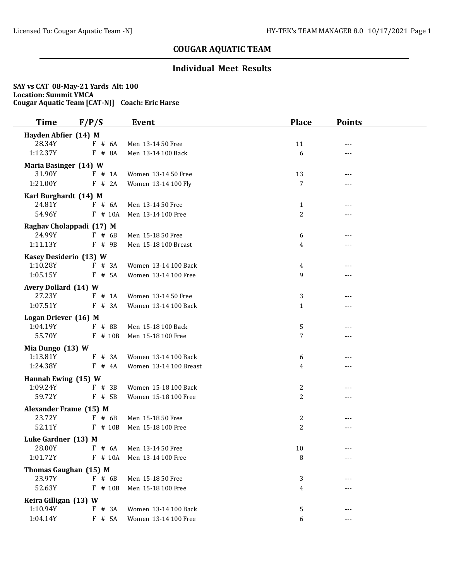### **Individual Meet Results**

| <b>Time</b>                      | F/P/S                    | Event                    | <b>Place</b>   | <b>Points</b> |  |
|----------------------------------|--------------------------|--------------------------|----------------|---------------|--|
| Hayden Abfier (14) M             |                          |                          |                |               |  |
| 28.34Y                           | $F$ # 6A                 | Men 13-14 50 Free        | 11             | ---           |  |
| 1:12.37Y                         | F # 8A                   | Men 13-14 100 Back       | 6              | ---           |  |
| Maria Basinger (14) W            |                          |                          |                |               |  |
| 31.90Y                           | $F$ # 1A                 | Women 13-14 50 Free      | 13             | ---           |  |
| 1:21.00Y                         | F # 2A                   | Women 13-14 100 Fly      | 7              |               |  |
| Karl Burghardt (14) M            |                          |                          |                |               |  |
| 24.81Y                           | F # 6A                   | Men 13-14 50 Free        | $\mathbf{1}$   | ---           |  |
| 54.96Y                           | $F$ # 10A                | Men 13-14 100 Free       | 2              | ---           |  |
|                                  | Raghav Cholappadi (17) M |                          |                |               |  |
| 24.99Y                           | $F$ # 6B                 | Men 15-18 50 Free        | 6              | ---           |  |
| 1:11.13Y                         | $F$ # 9B                 | Men 15-18 100 Breast     | 4              |               |  |
| Kasey Desiderio (13) W           |                          |                          |                |               |  |
| 1:10.28Y                         | $F$ # 3A                 | Women 13-14 100 Back     | 4              |               |  |
| 1:05.15Y                         | $F$ # 5A                 | Women 13-14 100 Free     | 9              | ---           |  |
| Avery Dollard (14) W             |                          |                          |                |               |  |
| 27.23Y                           | F # 1A                   | Women 13-14 50 Free      | 3              | ---           |  |
| 1:07.51Y                         | $F$ # 3A                 | Women 13-14 100 Back     | 1              | ---           |  |
|                                  |                          |                          |                |               |  |
| Logan Driever (16) M<br>1:04.19Y | $F$ # 8B                 | Men 15-18 100 Back       | 5              | ---           |  |
| 55.70Y                           | $F$ # 10B                | Men 15-18 100 Free       | 7              | ---           |  |
|                                  |                          |                          |                |               |  |
| Mia Dungo (13) W<br>1:13.81Y     | $F$ # 3A                 | Women 13-14 100 Back     |                | ---           |  |
| 1:24.38Y                         | $F$ # 4A                 | Women 13-14 100 Breast   | 6<br>4         | ---           |  |
|                                  |                          |                          |                |               |  |
| Hannah Ewing (15) W              |                          |                          |                |               |  |
| 1:09.24Y<br>59.72Y               | $F \# 3B$                | Women 15-18 100 Back     | 2              | ---           |  |
|                                  | $F$ # 5B                 | Women 15-18 100 Free     | 2              | ---           |  |
| Alexander Frame (15) M           |                          |                          |                |               |  |
| 23.72Y                           | $F$ # 6B                 | Men 15-18 50 Free        | 2              | ---           |  |
| 52.11Y                           | $F$ # 10B                | Men 15-18 100 Free       | $\overline{2}$ | ---           |  |
| Luke Gardner (13) M              |                          |                          |                |               |  |
| 28.00Y                           |                          | F # 6A Men 13-14 50 Free | $10\,$         | ---           |  |
| 1:01.72Y                         | F # 10A                  | Men 13-14 100 Free       | 8              | ---           |  |
|                                  | Thomas Gaughan (15) M    |                          |                |               |  |
| 23.97Y                           | $F$ # 6B                 | Men 15-18 50 Free        | 3              | ---           |  |
| 52.63Y                           | $F$ # 10B                | Men 15-18 100 Free       | 4              |               |  |
| Keira Gilligan (13) W            |                          |                          |                |               |  |
| 1:10.94Y                         | $F$ # 3A                 | Women 13-14 100 Back     | 5              | ---           |  |
| 1:04.14Y                         | F # 5A                   | Women 13-14 100 Free     | 6              | ---           |  |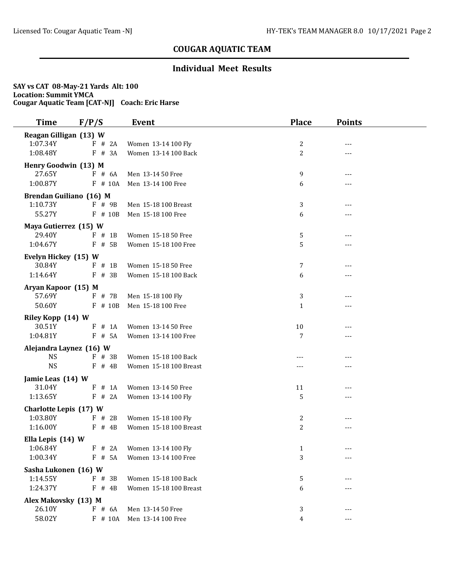### **Individual Meet Results**

| <b>Time</b>                    | F/P/S                 | Event                                   | <b>Place</b>   | <b>Points</b> |  |
|--------------------------------|-----------------------|-----------------------------------------|----------------|---------------|--|
| Reagan Gilligan (13) W         |                       |                                         |                |               |  |
| 1:07.34Y                       | F # 2A                | Women 13-14 100 Fly                     | 2              |               |  |
| 1:08.48Y                       | $F$ # 3A              | Women 13-14 100 Back                    | 2              | $---$         |  |
| Henry Goodwin (13) M           |                       |                                         |                |               |  |
| 27.65Y                         | $F$ # 6A              | Men 13-14 50 Free                       | 9              | ---           |  |
| 1:00.87Y                       | $F$ # 10A             | Men 13-14 100 Free                      | 6              |               |  |
| Brendan Guiliano (16) M        |                       |                                         |                |               |  |
| 1:10.73Y                       | F # 9B                | Men 15-18 100 Breast                    | 3              | ---           |  |
| 55.27Y                         | $F$ # 10B             | Men 15-18 100 Free                      | 6              |               |  |
| Maya Gutierrez (15) W          |                       |                                         |                |               |  |
| 29.40Y                         | $F$ # 1B              | Women 15-18 50 Free                     | 5              | ---           |  |
| 1:04.67Y                       | $F$ # 5B              | Women 15-18 100 Free                    | 5              | ---           |  |
|                                |                       |                                         |                |               |  |
| Evelyn Hickey (15) W<br>30.84Y | $F$ # 1B              | Women 15-18 50 Free                     | 7              | ---           |  |
| 1:14.64Y                       | $F$ # 3B              | Women 15-18 100 Back                    | 6              | ---           |  |
|                                |                       |                                         |                |               |  |
| Aryan Kapoor (15) M<br>57.69Y  |                       |                                         |                |               |  |
| 50.60Y                         | $F$ # 7B<br>$F$ # 10B | Men 15-18 100 Fly<br>Men 15-18 100 Free | 3<br>1         | ---           |  |
|                                |                       |                                         |                | ---           |  |
| Riley Kopp (14) W              |                       |                                         |                |               |  |
| 30.51Y                         | F # 1A                | Women 13-14 50 Free                     | 10             |               |  |
| 1:04.81Y                       | $F$ # 5A              | Women 13-14 100 Free                    | 7              | ---           |  |
| Alejandra Laynez (16) W        |                       |                                         |                |               |  |
| <b>NS</b>                      | $F$ # 3B              | Women 15-18 100 Back                    |                | ---           |  |
| <b>NS</b>                      | $F$ # 4B              | Women 15-18 100 Breast                  |                |               |  |
| Jamie Leas (14) W              |                       |                                         |                |               |  |
| 31.04Y                         | F # 1A                | Women 13-14 50 Free                     | 11             | $---$         |  |
| 1:13.65Y                       | F # 2A                | Women 13-14 100 Fly                     | 5              |               |  |
| Charlotte Lepis (17) W         |                       |                                         |                |               |  |
| 1:03.80Y                       | $F$ # 2B              | Women 15-18 100 Fly                     | 2              | ---           |  |
| 1:16.00Y                       | $F$ # 4B              | Women 15-18 100 Breast                  | $\overline{2}$ | ---           |  |
| Ella Lepis (14) W              |                       |                                         |                |               |  |
| 1:06.84Y                       |                       | F # 2A Women 13-14 100 Fly              | $\mathbf{1}$   | ---           |  |
| 1:00.34Y                       | F # 5A                | Women 13-14 100 Free                    | 3              | ---           |  |
| Sasha Lukonen (16) W           |                       |                                         |                |               |  |
| 1:14.55Y                       | F # 3B                | Women 15-18 100 Back                    | 5              |               |  |
| 1:24.37Y                       | $F$ # 4B              | Women 15-18 100 Breast                  | 6              |               |  |
| Alex Makovsky (13) M           |                       |                                         |                |               |  |
| 26.10Y                         | F # 6A                | Men 13-14 50 Free                       | 3              | ---           |  |
| 58.02Y                         | F # 10A               | Men 13-14 100 Free                      | 4              | ---           |  |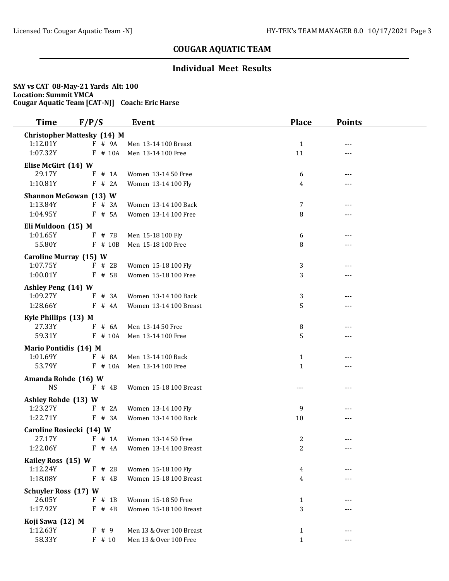### **Individual Meet Results**

| <b>Time</b>                              | F/P/S                              | Event                         | <b>Place</b>   | <b>Points</b>       |  |
|------------------------------------------|------------------------------------|-------------------------------|----------------|---------------------|--|
|                                          | <b>Christopher Mattesky (14) M</b> |                               |                |                     |  |
| 1:12.01Y                                 | F # 9A                             | Men 13-14 100 Breast          | $\mathbf{1}$   | $---$               |  |
| 1:07.32Y                                 | $F$ # 10A                          | Men 13-14 100 Free            | 11             | ---                 |  |
| Elise McGirt (14) W                      |                                    |                               |                |                     |  |
| 29.17Y                                   | $F$ # 1A                           | Women 13-14 50 Free           | 6              | ---                 |  |
| 1:10.81Y                                 | F # 2A                             | Women 13-14 100 Fly           | 4              |                     |  |
|                                          | Shannon McGowan (13) W             |                               |                |                     |  |
| 1:13.84Y                                 | $F$ # 3A                           | Women 13-14 100 Back          | $\overline{7}$ |                     |  |
| 1:04.95Y                                 | F # 5A                             | Women 13-14 100 Free          | 8              | ---                 |  |
| Eli Muldoon (15) M                       |                                    |                               |                |                     |  |
| 1:01.65Y                                 | F # 7B                             | Men 15-18 100 Fly             | 6              | ---                 |  |
| 55.80Y                                   | $F$ # 10B                          | Men 15-18 100 Free            | 8              |                     |  |
| <b>Caroline Murray (15) W</b>            |                                    |                               |                |                     |  |
| 1:07.75Y                                 | $F$ # 2B                           | Women 15-18 100 Fly           | 3              |                     |  |
| 1:00.01Y                                 | $F$ # 5B                           | Women 15-18 100 Free          | 3              | $---$               |  |
| Ashley Peng (14) W                       |                                    |                               |                |                     |  |
| 1:09.27Y                                 | $F$ # 3A                           | Women 13-14 100 Back          | 3              | $---$               |  |
| 1:28.66Y                                 | F # 4A                             | Women 13-14 100 Breast        | 5              | ---                 |  |
|                                          |                                    |                               |                |                     |  |
| Kyle Phillips (13) M<br>27.33Y           | $F$ # 6A                           | Men 13-14 50 Free             | 8              | ---                 |  |
| 59.31Y                                   | $F$ # 10A                          | Men 13-14 100 Free            | 5              | $---$               |  |
|                                          |                                    |                               |                |                     |  |
| <b>Mario Pontidis (14) M</b><br>1:01.69Y | $F$ # 8A                           | Men 13-14 100 Back            | 1              |                     |  |
| 53.79Y                                   | $F$ # 10A                          | Men 13-14 100 Free            | $\mathbf{1}$   | $---$               |  |
|                                          |                                    |                               |                |                     |  |
| Amanda Rohde (16) W                      |                                    |                               |                |                     |  |
| <b>NS</b>                                | $F$ # 4B                           | Women 15-18 100 Breast        | $---$          | $---$               |  |
| Ashley Rohde (13) W                      |                                    |                               |                |                     |  |
| 1:23.27Y                                 | F # 2A                             | Women 13-14 100 Fly           | 9              | $---$               |  |
| 1:22.71Y                                 | $F$ # 3A                           | Women 13-14 100 Back          | 10             | $---$               |  |
|                                          | Caroline Rosiecki (14) W           |                               |                |                     |  |
| 27.17Y                                   | F # 1A                             | Women 13-14 50 Free           | 2              | $---$               |  |
| 1:22.06Y                                 |                                    | F # 4A Women 13-14 100 Breast | $\overline{a}$ | $\qquad \qquad - -$ |  |
| Kailey Ross (15) W                       |                                    |                               |                |                     |  |
| 1:12.24Y                                 | $F$ # 2B                           | Women 15-18 100 Fly           | 4              |                     |  |
| 1:18.08Y                                 | $F$ # 4B                           | Women 15-18 100 Breast        | 4              |                     |  |
| <b>Schuyler Ross (17) W</b>              |                                    |                               |                |                     |  |
| 26.05Y                                   | $F$ # 1B                           | Women 15-18 50 Free           | $\mathbf{1}$   |                     |  |
| 1:17.92Y                                 | $F$ # 4B                           | Women 15-18 100 Breast        | 3              |                     |  |
| Koji Sawa (12) M                         |                                    |                               |                |                     |  |
| 1:12.63Y                                 | F # 9                              | Men 13 & Over 100 Breast      | $\mathbf{1}$   | $---$               |  |
| 58.33Y                                   | $F$ # 10                           | Men 13 & Over 100 Free        | $\mathbf{1}$   |                     |  |